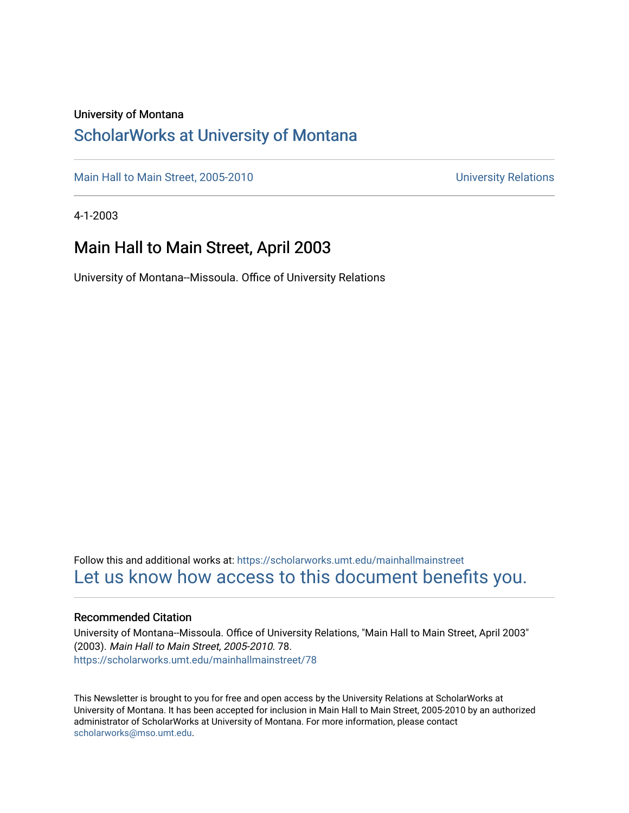#### University of Montana

## [ScholarWorks at University of Montana](https://scholarworks.umt.edu/)

[Main Hall to Main Street, 2005-2010](https://scholarworks.umt.edu/mainhallmainstreet) Main Hall to Main Street, 2005-2010

4-1-2003

## Main Hall to Main Street, April 2003

University of Montana--Missoula. Office of University Relations

Follow this and additional works at: [https://scholarworks.umt.edu/mainhallmainstreet](https://scholarworks.umt.edu/mainhallmainstreet?utm_source=scholarworks.umt.edu%2Fmainhallmainstreet%2F78&utm_medium=PDF&utm_campaign=PDFCoverPages) [Let us know how access to this document benefits you.](https://goo.gl/forms/s2rGfXOLzz71qgsB2) 

#### Recommended Citation

University of Montana--Missoula. Office of University Relations, "Main Hall to Main Street, April 2003" (2003). Main Hall to Main Street, 2005-2010. 78. [https://scholarworks.umt.edu/mainhallmainstreet/78](https://scholarworks.umt.edu/mainhallmainstreet/78?utm_source=scholarworks.umt.edu%2Fmainhallmainstreet%2F78&utm_medium=PDF&utm_campaign=PDFCoverPages) 

This Newsletter is brought to you for free and open access by the University Relations at ScholarWorks at University of Montana. It has been accepted for inclusion in Main Hall to Main Street, 2005-2010 by an authorized administrator of ScholarWorks at University of Montana. For more information, please contact [scholarworks@mso.umt.edu.](mailto:scholarworks@mso.umt.edu)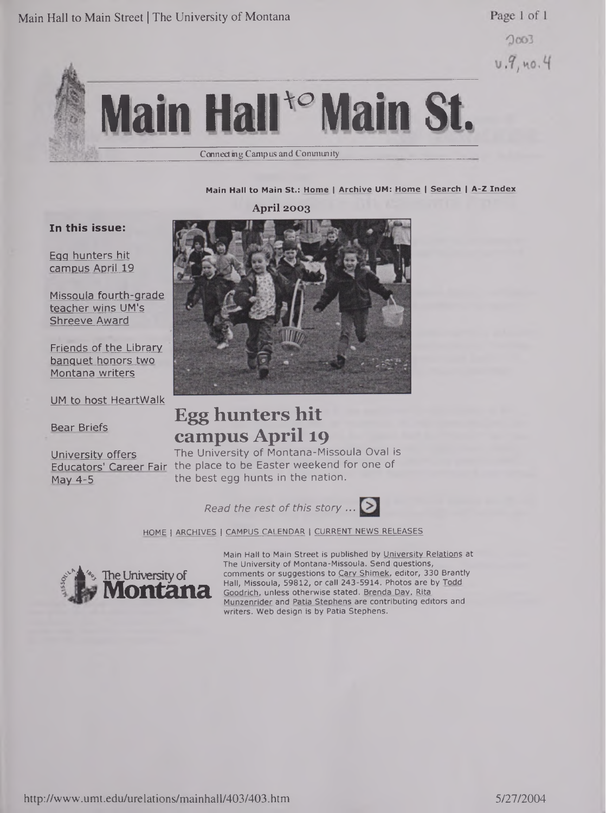Page 1 of 1

 $2003$  $U.9, no.4$ 

# **Main Hair Main St.** Connect ing Campus and Community

#### **Main Hall to Main St.: Home <sup>|</sup> Archive UM: Home <sup>|</sup> Search <sup>|</sup> A-Z Index**

**April 2003**

#### **In this issue:**

Egg hunters hit campus April 19

Missoula fourth-grade teacher wins UM's Shreeve Award

Friends of the Library banquet honors two Montana writers

UM to host HeartWalk

Bear Briefs

University offers Educators' Career Fair May 4-5



# **Egg hunters hit campus April 19**

The University of Montana-Missoula Oval is the place to be Easter weekend for one of the best egg hunts in the nation.

*Read the rest of this story ...*



HOME <sup>|</sup> ARCHIVES <sup>|</sup> CAMPUS CALENDAR <sup>|</sup> CURRENT NEWS RELEASES



Main Hall to Main Street is published by University Relations at The University of Montana-Missoula. Send questions, comments or suggestions to Cary Shimek, editor, 330 Brantly Hall, Missoula, 59812, or call 243-5914. Photos are by Todd Goodrich, unless otherwise stated. Brenda Dav. Rita Munzenrider and Patia Stephens are contributing editors and writers. Web design is by Patia Stephens.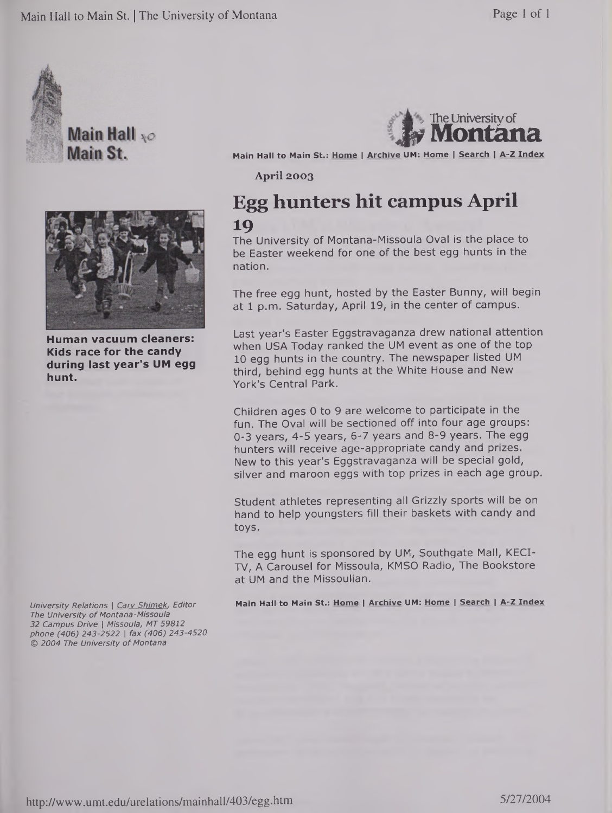

**Main Hall**  $\infty$ Main St.



**Human vacuum cleaners: Kids race for the candy during last year's UM egg hunt.**

*University Relations <sup>|</sup> Cary Shimek, Editor The University of Montana-Missoula 32 Campus Drive <sup>|</sup> Missoula, MT 59812 phone (406) 243-2522 <sup>|</sup> fax (406) 243-4520 © 2004 The University of Montana*



**Main Hall to Main St.: Home <sup>|</sup> Archive UM: Home <sup>|</sup> Search <sup>|</sup> A-Z Index**

**April 2003**

## **Egg hunters hit campus April 19**

The University of Montana-Missoula Oval is the place to be Easter weekend for one of the best egg hunts in the nation.

The free egg hunt, hosted by the Easter Bunny, will begin at 1 p.m. Saturday, April 19, in the center of campus.

Last year's Easter Eggstravaganza drew national attention when USA Today ranked the UM event as one of the top 10 egg hunts in the country. The newspaper listed UM third, behind egg hunts at the White House and New York's Central Park.

Children ages 0 to 9 are welcome to participate in the fun. The Oval will be sectioned off into four age groups: 0-3 years, 4-5 years, 6-7 years and 8-9 years. The egg hunters will receive age-appropriate candy and prizes. New to this year's Eggstravaganza will be special gold, silver and maroon eggs with top prizes in each age group.

Student athletes representing all Grizzly sports will be on hand to help youngsters fill their baskets with candy and toys.

The egg hunt is sponsored by UM, Southgate Mall, KECI-TV, A Carousel for Missoula, KMSO Radio, The Bookstore at UM and the Missoulian.

**Main Hall to Main St.: Home <sup>|</sup> Archive UM: Home <sup>|</sup> Search <sup>|</sup> A-Z Index**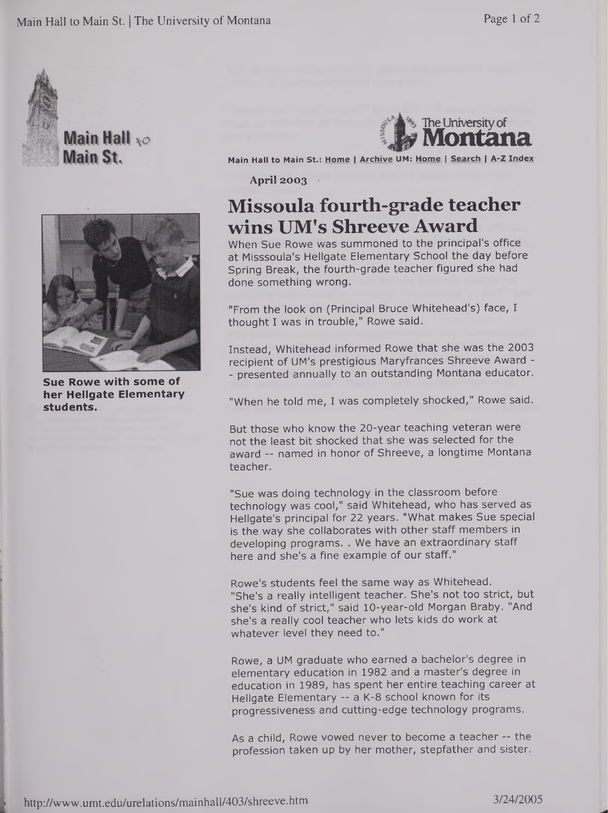



**Sue Rowe with some of her Hellgate Elementary students.**



**Main Hall to Main St.: Home <sup>|</sup> Archive UM: Home <sup>|</sup> Search <sup>|</sup> A-Z Index**

**April 2003 •**

# **Missoula fourth-grade teacher wins UM's Shreeve Award**

When Sue Rowe was summoned to the principal's office at Misssoula's Hellgate Elementary School the day before Spring Break, the fourth-grade teacher figured she had done something wrong.

"From the look on (Principal Bruce Whitehead's) face, I thought I was in trouble," Rowe said.

Instead, Whitehead informed Rowe that she was the 2003 recipient of UM's prestigious Maryfrances Shreeve Award - - presented annually to an outstanding Montana educator.

"When he told me, I was completely shocked," Rowe said.

But those who know the 20-year teaching veteran were not the least bit shocked that she was selected for the award -- named in honor of Shreeve, a longtime Montana teacher.

"Sue was doing technology in the classroom before technology was cool," said Whitehead, who has served as Hellgate's principal for 22 years. "What makes Sue special is the way she collaborates with other staff members in developing programs. . We have an extraordinary staff here and she's a fine example of our staff."

Rowe's students feel the same way as Whitehead. "She's a really intelligent teacher. She's not too strict, but she's kind of strict," said 10-year-old Morgan Braby. "And she's a really cool teacher who lets kids do work at whatever level they need to."

Rowe, a UM graduate who earned a bachelor's degree in elementary education in 1982 and a master's degree in education in 1989, has spent her entire teaching career at Hellgate Elementary -- a K-8 school known for its progressiveness and cutting-edge technology programs.

As a child, Rowe vowed never to become a teacher -- the profession taken up by her mother, stepfather and sister.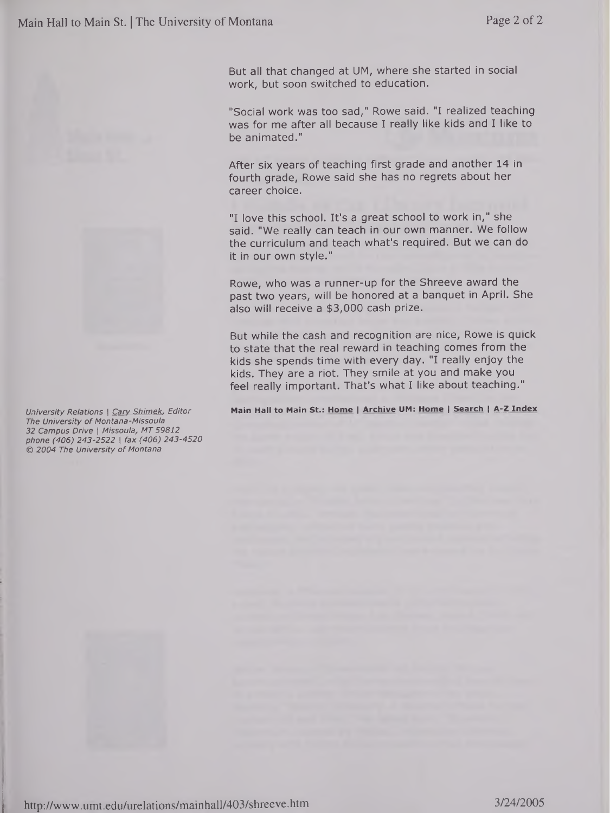



*The University of Montana-Missoula 32 Campus Drive <sup>|</sup> Missoula, MT 59812 phone (406) 243-2522 <sup>|</sup> fax (406) 243-4520 © 2004 The University of Montana*

But all that changed at UM, where she started in social work, but soon switched to education.

"Social work was too sad," Rowe said. "I realized teaching was for me after all because I really like kids and I like to be animated."

After six years of teaching first grade and another 14 in fourth grade, Rowe said she has no regrets about her career choice.

"I love this school. It's a great school to work in," she said. "We really can teach in our own manner. We follow the curriculum and teach what's required. But we can do it in our own style."

Rowe, who was a runner-up for the Shreeve award the past two years, will be honored at a banquet in April. She also will receive a \$3,000 cash prize.

But while the cash and recognition are nice, Rowe is quick to state that the real reward in teaching comes from the kids she spends time with every day. "I really enjoy the kids. They are a riot. They smile at you and make you feel really important. That's what I like about teaching."

University Relations | Cary Shimek, Editor Main Hall to Main St.: Home | Archive UM: Home | Search | A-Z Index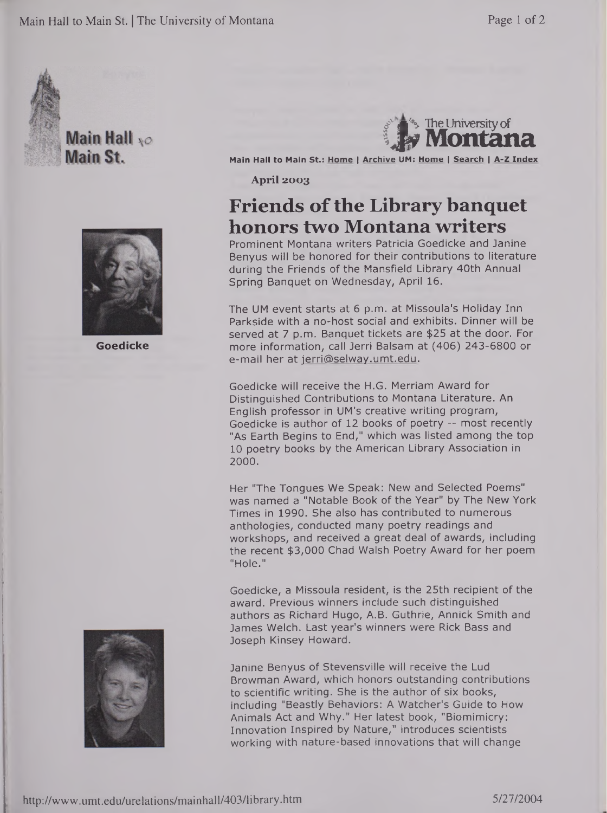

Main Hall \*o Main St.



**Goedicke**





**Main Hall to Main St.: Home <sup>|</sup> Archive UM: Home <sup>|</sup> Search <sup>|</sup> A-Z Index**

**April 2003**

# **Friends ofthe Library banquet honors two Montana writers**

Prominent Montana writers Patricia Goedicke and Janine Benyus will be honored for their contributions to literature during the Friends of the Mansfield Library 40th Annual Spring Banquet on Wednesday, April 16.

The UM event starts at 6 p.m. at Missoula's Holiday Inn Parkside with a no-host social and exhibits. Dinner will be served at 7 p.m. Banquet tickets are \$25 at the door. For more information, call Jerri Balsam at (406) 243-6800 or e-mail her at [jerri@selway.umt.edu](mailto:jerri@selway.umt.edu).

Goedicke will receive the H.G. Merriam Award for Distinguished Contributions to Montana Literature. An English professor in UM's creative writing program, Goedicke is author of 12 books of poetry — most recently "As Earth Begins to End," which was listed among the top 10 poetry books by the American Library Association in 2000.

Her "The Tongues We Speak: New and Selected Poems" was named a "Notable Book of the Year" by The New York Times in 1990. She also has contributed to numerous anthologies, conducted many poetry readings and workshops, and received a great deal of awards, including the recent \$3,000 Chad Walsh Poetry Award for her poem "Hole."

Goedicke, a Missoula resident, is the 25th recipient of the award. Previous winners include such distinguished authors as Richard Hugo, A.B. Guthrie, Annick Smith and James Welch. Last year's winners were Rick Bass and Joseph Kinsey Howard.

Janine Benyus of Stevensville will receive the Lud Browman Award, which honors outstanding contributions to scientific writing. She is the author of six books, including "Beastly Behaviors: A Watcher's Guide to How Animals Act and Why." Her latest book, "Biomimicry: Innovation Inspired by Nature," introduces scientists working with nature-based innovations that will change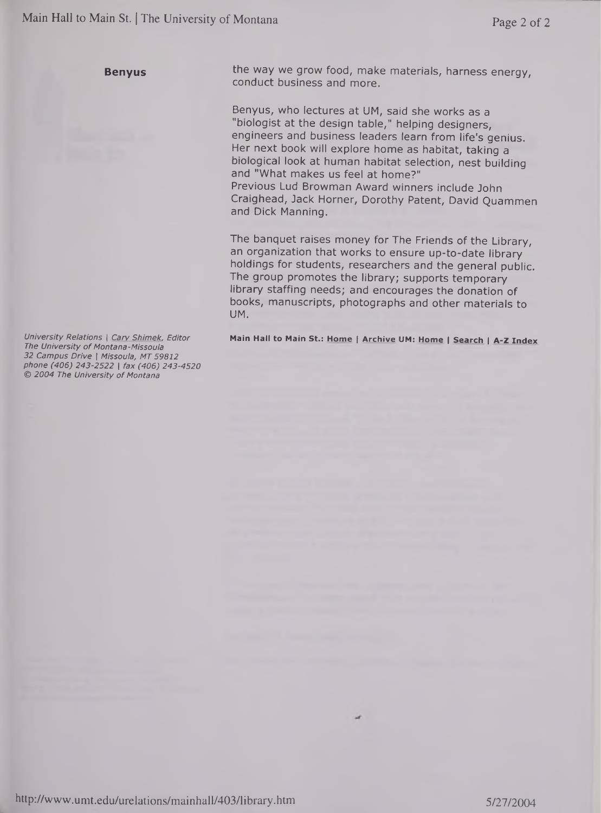**Benyus**

*University Relations <sup>|</sup> Cary Shimek. Editor The University of Montana-Missoula 32 Campus Drive <sup>|</sup> Missoula, MT 59812 phone (406) 243-2522 <sup>|</sup> fax (406) 243-4520 © 2004 The University of Montana*

the way we grow food, make materials, harness energy, conduct business and more.

Benyus, who lectures at UM, said she works as a "biologist at the design table," helping designers, engineers and business leaders learn from life's genius. Her next book will explore home as habitat, taking a biological look at human habitat selection, nest building and "What makes us feel at home?" Previous Lud Browman Award winners include John Craighead, Jack Horner, Dorothy Patent, David Quammen and Dick Manning.

The banquet raises money for The Friends of the Library, an organization that works to ensure up-to-date library holdings for students, researchers and the general public. The group promotes the library; supports temporary library staffing needs; and encourages the donation of books, manuscripts, photographs and other materials to UM.

**Main Hall to Main St.: Home <sup>|</sup> Archive UM: Home <sup>|</sup> Search <sup>|</sup> A-Z Index**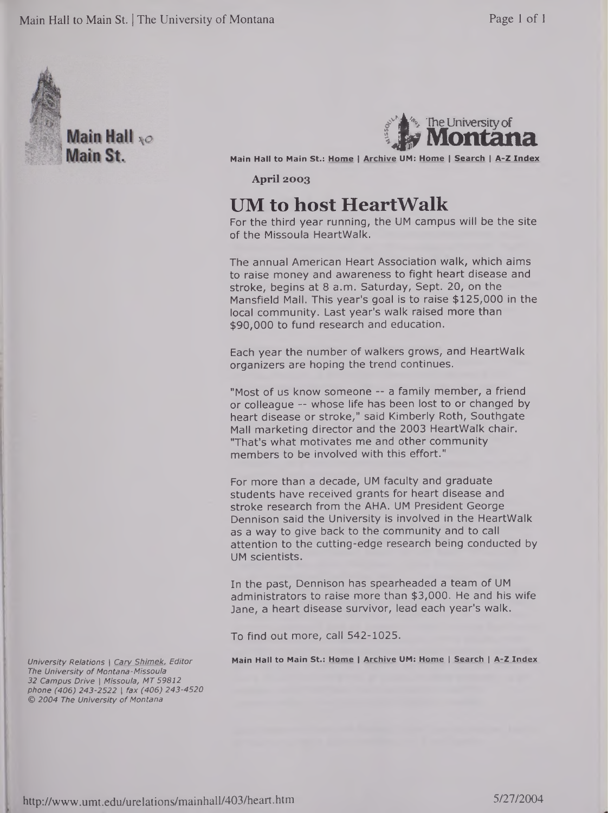

Main Hall \*o Main St.



**Main Hall to Main St.: Home <sup>|</sup> Archive UM: Home <sup>|</sup> Search <sup>|</sup> A-Z Index**

**April 2003**

## **UM to host HeartWalk**

For the third year running, the UM campus will be the site of the Missoula HeartWalk.

The annual American Heart Association walk, which aims to raise money and awareness to fight heart disease and stroke, begins at 8 a.m. Saturday, Sept. 20, on the Mansfield Mall. This year's goal is to raise \$125,000 in the local community. Last year's walk raised more than \$90,000 to fund research and education.

Each year the number of walkers grows, and HeartWalk organizers are hoping the trend continues.

"Most of us know someone -- a family member, a friend or colleague — whose life has been lost to or changed by heart disease or stroke," said Kimberly Roth, Southgate Mall marketing director and the 2003 HeartWalk chair. "That's what motivates me and other community members to be involved with this effort."

For more than a decade, UM faculty and graduate students have received grants for heart disease and stroke research from the AHA. UM President George Dennison said the University is involved in the HeartWalk as a way to give back to the community and to call attention to the cutting-edge research being conducted by UM scientists.

In the past, Dennison has spearheaded a team of UM administrators to raise more than \$3,000. He and his wife Jane, a heart disease survivor, lead each year's walk.

To find out more, call 542-1025.

**Main Hall to Main St.: Home <sup>|</sup> Archive UM: Home <sup>|</sup> Search <sup>|</sup> A-Z Index**

*University Relations <sup>|</sup> Cary Shimek, Editor The University ofMontana-Missoula 32 Campus Drive <sup>|</sup> Missoula, MT 59812 phone (406) 243-2522 <sup>|</sup> fax (406) 243-4520 © 2004 The University of Montana*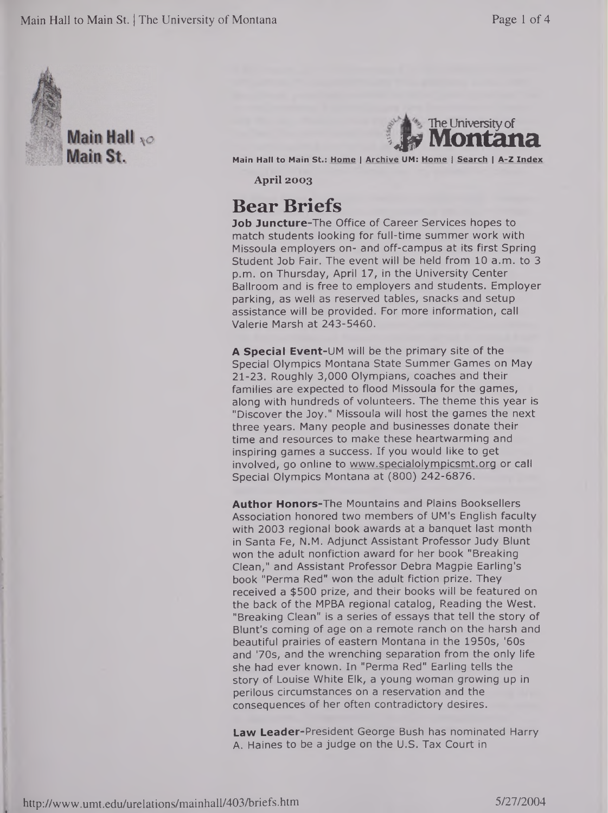

Main Hall  $_{\chi O}$ Main St.

**The University of** 

**Main Hall to Main St.: Home <sup>|</sup> Archive UM: Home <sup>|</sup> Search <sup>|</sup> A-Z Index**

**April 2003**

## **Bear Briefs**

**Job Juncture-The** Office of Career Services hopes to match students looking for full-time summer work with Missoula employers on- and off-campus at its first Spring Student Job Fair. The event will be held from 10 a.m. to 3 p.m. on Thursday, April 17, in the University Center Ballroom and is free to employers and students. Employer parking, as well as reserved tables, snacks and setup assistance will be provided. For more information, call Valerie Marsh at 243-5460.

**A Special Event-UM** will be the primary site of the Special Olympics Montana State Summer Games on May 21-23. Roughly 3,000 Olympians, coaches and their families are expected to flood Missoula for the games, along with hundreds of volunteers. The theme this year is "Discover the Joy." Missoula will host the games the next three years. Many people and businesses donate their time and resources to make these heartwarming and inspiring games a success. If you would like to get involved, go online to [www.specialolympicsmt.org](http://www.specialolympicsmt.org) or call Special Olympics Montana at (800) 242-6876.

**Author Honors-The** Mountains and Plains Booksellers Association honored two members of UM's English faculty with 2003 regional book awards at a banquet last month in Santa Fe, N.M. Adjunct Assistant Professor Judy Blunt won the adult nonfiction award for her book "Breaking Clean," and Assistant Professor Debra Magpie Earling's book "Perma Red" won the adult fiction prize. They received a \$500 prize, and their books will be featured on the back of the MPBA regional catalog, Reading the West. "Breaking Clean" is a series of essays that tell the story of Blunt's coming of age on a remote ranch on the harsh and beautiful prairies of eastern Montana in the 1950s, '60s and '70s, and the wrenching separation from the only life she had ever known. In "Perma Red" Earling tells the story of Louise White Elk, a young woman growing up in perilous circumstances on a reservation and the consequences of her often contradictory desires.

Law Leader-President George Bush has nominated Harry A. Haines to be a judge on the U.S. Tax Court in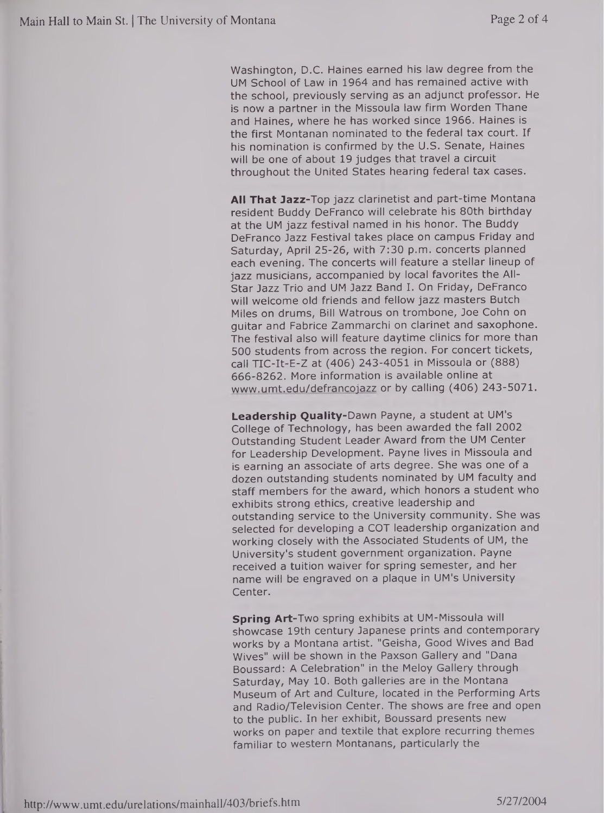Washington, D.C. Haines earned his law degree from the UM School of Law in 1964 and has remained active with the school, previously serving as an adjunct professor. He is now a partner in the Missoula law firm Worden Thane and Haines, where he has worked since 1966. Haines is the first Montanan nominated to the federal tax court. If his nomination is confirmed by the U.S. Senate, Haines will be one of about 19 judges that travel a circuit throughout the United States hearing federal tax cases.

**All That Jazz-Top** jazz clarinetist and part-time Montana resident Buddy DeFranco will celebrate his 80th birthday at the UM jazz festival named in his honor. The Buddy DeFranco Jazz Festival takes place on campus Friday and Saturday, April 25-26, with 7:30 p.m. concerts planned each evening. The concerts will feature a stellar lineup of jazz musicians, accompanied by local favorites the All-Star Jazz Trio and UM Jazz Band I. On Friday, DeFranco will welcome old friends and fellow jazz masters Butch Miles on drums, Bill Watrous on trombone, Joe Cohn on guitar and Fabrice Zammarchi on clarinet and saxophone. The festival also will feature daytime clinics for more than 500 students from across the region. For concert tickets, call TIC-It-E-Z at (406) 243-4051 in Missoula or (888) 666-8262. More information is available online at [www.umt.edu/defrancojazz](http://www.umt.edu/defrancojazz) or by calling (406) 243-5071.

**Leadership Quality-Dawn** Payne, a student at UM's College of Technology, has been awarded the fall 2002 Outstanding Student Leader Award from the UM Center for Leadership Development. Payne lives in Missoula and is earning an associate of arts degree. She was one of a dozen outstanding students nominated by UM faculty and staff members for the award, which honors a student who exhibits strong ethics, creative leadership and outstanding service to the University community. She was selected for developing a COT leadership organization and working closely with the Associated Students of UM, the University's student government organization. Payne received a tuition waiver for spring semester, and her name will be engraved on a plaque in UM's University Center.

**Spring Art-Two** spring exhibits at UM-Missoula will showcase 19th century Japanese prints and contemporary works by a Montana artist. "Geisha, Good Wives and Bad Wives" will be shown in the Paxson Gallery and "Dana Boussard: A Celebration" in the Meloy Gallery through Saturday, May 10. Both galleries are in the Montana Museum of Art and Culture, located in the Performing Arts and Radio/Television Center. The shows are free and open to the public. In her exhibit, Boussard presents new works on paper and textile that explore recurring themes familiar to western Montanans, particularly the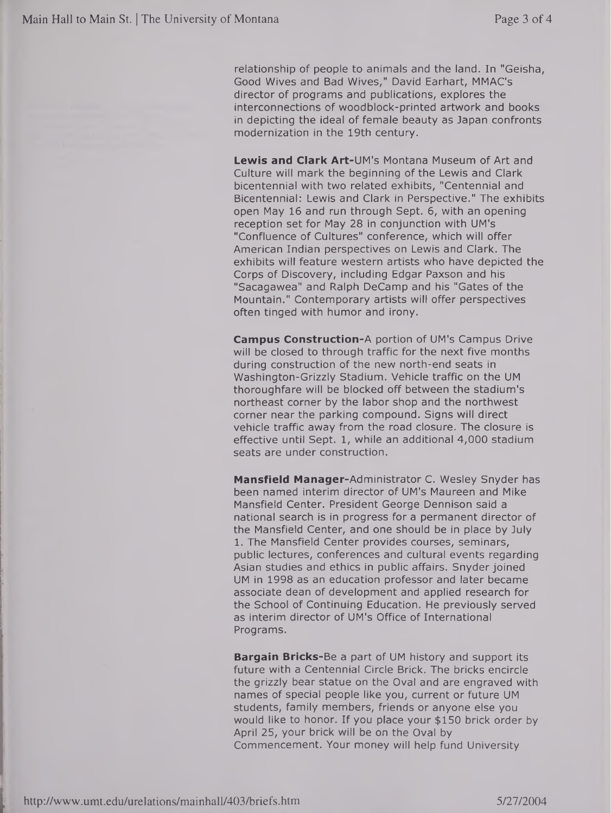relationship of people to animals and the land. In "Geisha, Good Wives and Bad Wives," David Earhart, MMAC's director of programs and publications, explores the interconnections of woodblock-printed artwork and books in depicting the ideal of female beauty as Japan confronts modernization in the 19th century.

**Lewis and Clark Art-UM's** Montana Museum of Art and Culture will mark the beginning of the Lewis and Clark bicentennial with two related exhibits, "Centennial and Bicentennial: Lewis and Clark in Perspective." The exhibits open May 16 and run through Sept. 6, with an opening reception set for May 28 in conjunction with UM's "Confluence of Cultures" conference, which will offer American Indian perspectives on Lewis and Clark. The exhibits will feature western artists who have depicted the Corps of Discovery, including Edgar Paxson and his "Sacagawea" and Ralph DeCamp and his "Gates of the Mountain." Contemporary artists will offer perspectives often tinged with humor and irony.

**Campus Construction-A** portion of UM's Campus Drive will be closed to through traffic for the next five months during construction of the new north-end seats in Washington-Grizzly Stadium. Vehicle traffic on the UM thoroughfare will be blocked off between the stadium's northeast corner by the labor shop and the northwest corner near the parking compound. Signs will direct vehicle traffic away from the road closure. The closure is effective until Sept. 1, while an additional 4,000 stadium seats are under construction.

**Mansfield** Manager-Administrator C. Wesley Snyder has been named interim director of UM's Maureen and Mike Mansfield Center. President George Dennison said a national search is in progress for a permanent director of the Mansfield Center, and one should be in place by July 1. The Mansfield Center provides courses, seminars, public lectures, conferences and cultural events regarding Asian studies and ethics in public affairs. Snyder joined UM in 1998 as an education professor and later became associate dean of development and applied research for the School of Continuing Education. He previously served as interim director of UM's Office of International Programs.

**Bargain Bricks-Be** a part of UM history and support its future with a Centennial Circle Brick. The bricks encircle the grizzly bear statue on the Oval and are engraved with names of special people like you, current or future UM students, family members, friends or anyone else you would like to honor. If you place your \$150 brick order by April 25, your brick will be on the Oval by Commencement. Your money will help fund University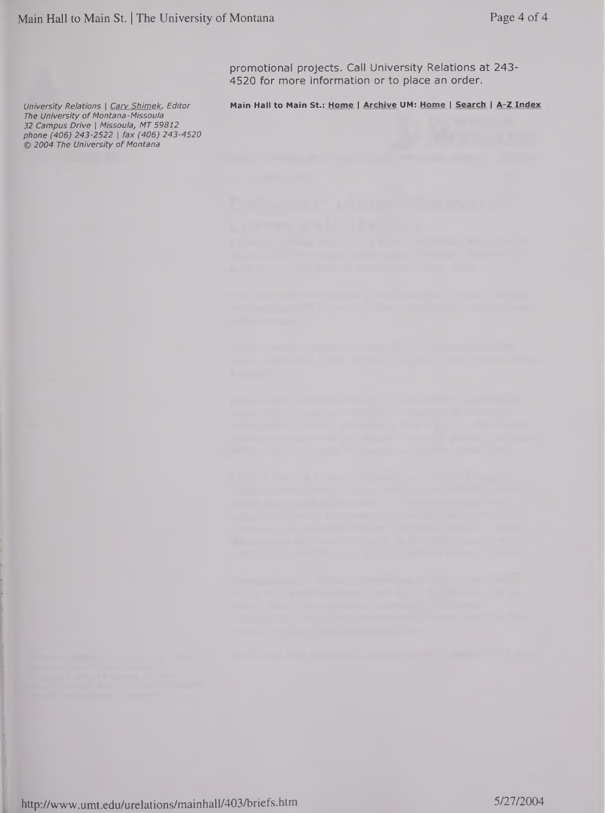promotional projects. Call University Relations at 243- 4520 for more information or to place an order.

University Relations | Cary Shimek, Editor Main Hall to Main St.: Home | Archive UM: Home | Search | A-Z Index

*The University of Montana-Missoula 32 Campus Drive <sup>|</sup> Missoula, MT 59812 phone (406) 243-2522 <sup>|</sup> fax (406) 243-4520 © 2004 The University of Montana*